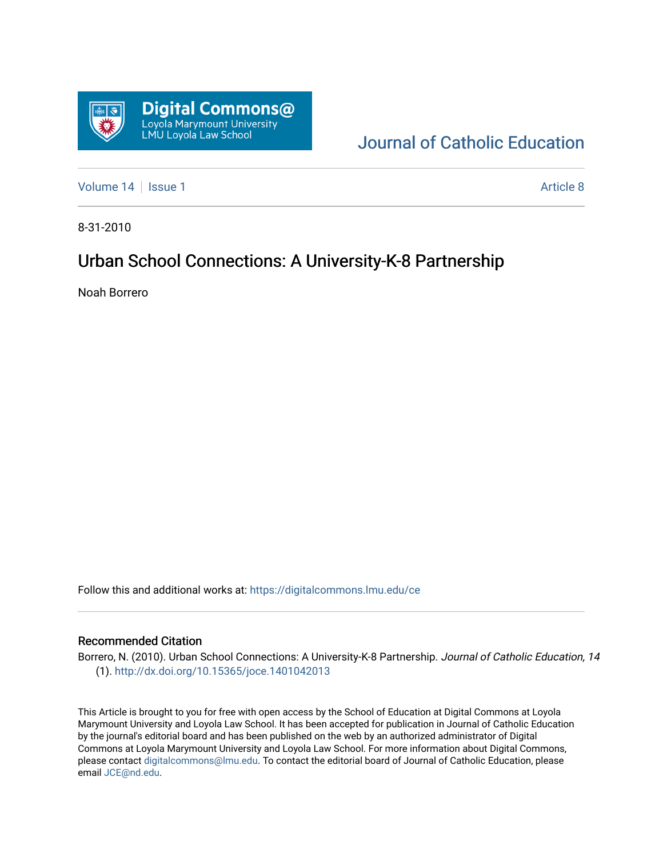

# [Journal of Catholic Education](https://digitalcommons.lmu.edu/ce)

[Volume 14](https://digitalcommons.lmu.edu/ce/vol14) | [Issue 1](https://digitalcommons.lmu.edu/ce/vol14/iss1) Article 8

8-31-2010

# Urban School Connections: A University-K-8 Partnership

Noah Borrero

Follow this and additional works at: [https://digitalcommons.lmu.edu/ce](https://digitalcommons.lmu.edu/ce?utm_source=digitalcommons.lmu.edu%2Fce%2Fvol14%2Fiss1%2F8&utm_medium=PDF&utm_campaign=PDFCoverPages)

## Recommended Citation

Borrero, N. (2010). Urban School Connections: A University-K-8 Partnership. Journal of Catholic Education, 14 (1).<http://dx.doi.org/10.15365/joce.1401042013>

This Article is brought to you for free with open access by the School of Education at Digital Commons at Loyola Marymount University and Loyola Law School. It has been accepted for publication in Journal of Catholic Education by the journal's editorial board and has been published on the web by an authorized administrator of Digital Commons at Loyola Marymount University and Loyola Law School. For more information about Digital Commons, please contact [digitalcommons@lmu.edu](mailto:digitalcommons@lmu.edu). To contact the editorial board of Journal of Catholic Education, please email [JCE@nd.edu](mailto:JCE@nd.edu).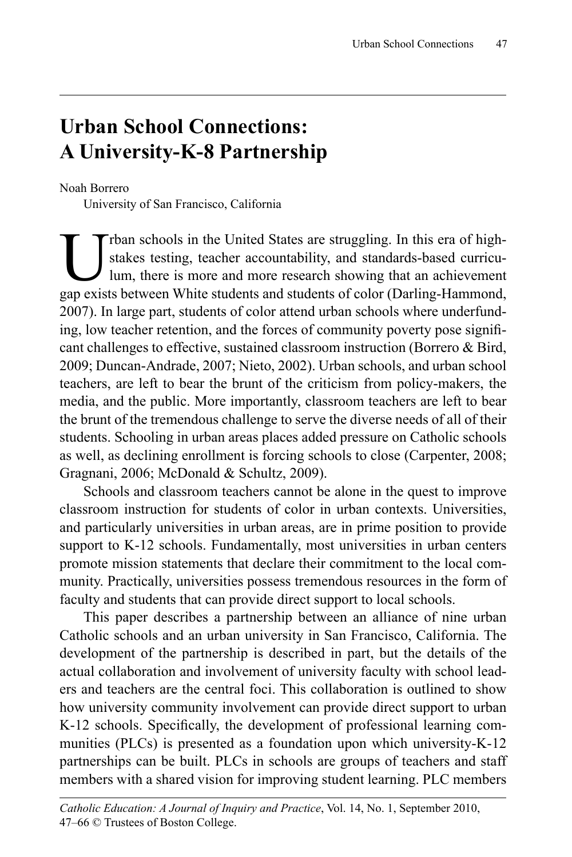# **Urban School Connections: A University-K-8 Partnership**

Noah Borrero

University of San Francisco, California

rban schools in the United States are struggling. In this era of highstakes testing, teacher accountability, and standards-based curriculum, there is more and more research showing that an achievement gap exists between White students and students of color (Darling-Hammond, 2007). In large part, students of color attend urban schools where underfunding, low teacher retention, and the forces of community poverty pose significant challenges to effective, sustained classroom instruction (Borrero & Bird, 2009; Duncan-Andrade, 2007; Nieto, 2002). Urban schools, and urban school teachers, are left to bear the brunt of the criticism from policy-makers, the media, and the public. More importantly, classroom teachers are left to bear the brunt of the tremendous challenge to serve the diverse needs of all of their students. Schooling in urban areas places added pressure on Catholic schools as well, as declining enrollment is forcing schools to close (Carpenter, 2008; Gragnani, 2006; McDonald & Schultz, 2009).

Schools and classroom teachers cannot be alone in the quest to improve classroom instruction for students of color in urban contexts. Universities, and particularly universities in urban areas, are in prime position to provide support to K-12 schools. Fundamentally, most universities in urban centers promote mission statements that declare their commitment to the local community. Practically, universities possess tremendous resources in the form of faculty and students that can provide direct support to local schools.

This paper describes a partnership between an alliance of nine urban Catholic schools and an urban university in San Francisco, California. The development of the partnership is described in part, but the details of the actual collaboration and involvement of university faculty with school leaders and teachers are the central foci. This collaboration is outlined to show how university community involvement can provide direct support to urban K-12 schools. Specifically, the development of professional learning communities (PLCs) is presented as a foundation upon which university-K-12 partnerships can be built. PLCs in schools are groups of teachers and staff members with a shared vision for improving student learning. PLC members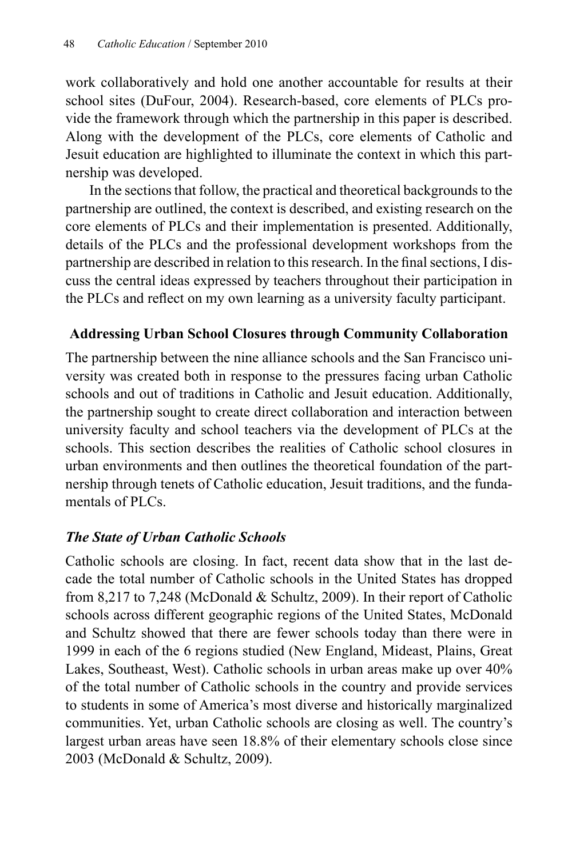work collaboratively and hold one another accountable for results at their school sites (DuFour, 2004). Research-based, core elements of PLCs provide the framework through which the partnership in this paper is described. Along with the development of the PLCs, core elements of Catholic and Jesuit education are highlighted to illuminate the context in which this partnership was developed.

In the sections that follow, the practical and theoretical backgrounds to the partnership are outlined, the context is described, and existing research on the core elements of PLCs and their implementation is presented. Additionally, details of the PLCs and the professional development workshops from the partnership are described in relation to this research. In the final sections, I discuss the central ideas expressed by teachers throughout their participation in the PLCs and reflect on my own learning as a university faculty participant.

## **Addressing Urban School Closures through Community Collaboration**

The partnership between the nine alliance schools and the San Francisco university was created both in response to the pressures facing urban Catholic schools and out of traditions in Catholic and Jesuit education. Additionally, the partnership sought to create direct collaboration and interaction between university faculty and school teachers via the development of PLCs at the schools. This section describes the realities of Catholic school closures in urban environments and then outlines the theoretical foundation of the partnership through tenets of Catholic education, Jesuit traditions, and the fundamentals of PLCs.

## *The State of Urban Catholic Schools*

Catholic schools are closing. In fact, recent data show that in the last decade the total number of Catholic schools in the United States has dropped from 8,217 to 7,248 (McDonald & Schultz, 2009). In their report of Catholic schools across different geographic regions of the United States, McDonald and Schultz showed that there are fewer schools today than there were in 1999 in each of the 6 regions studied (New England, Mideast, Plains, Great Lakes, Southeast, West). Catholic schools in urban areas make up over 40% of the total number of Catholic schools in the country and provide services to students in some of America's most diverse and historically marginalized communities. Yet, urban Catholic schools are closing as well. The country's largest urban areas have seen 18.8% of their elementary schools close since 2003 (McDonald & Schultz, 2009).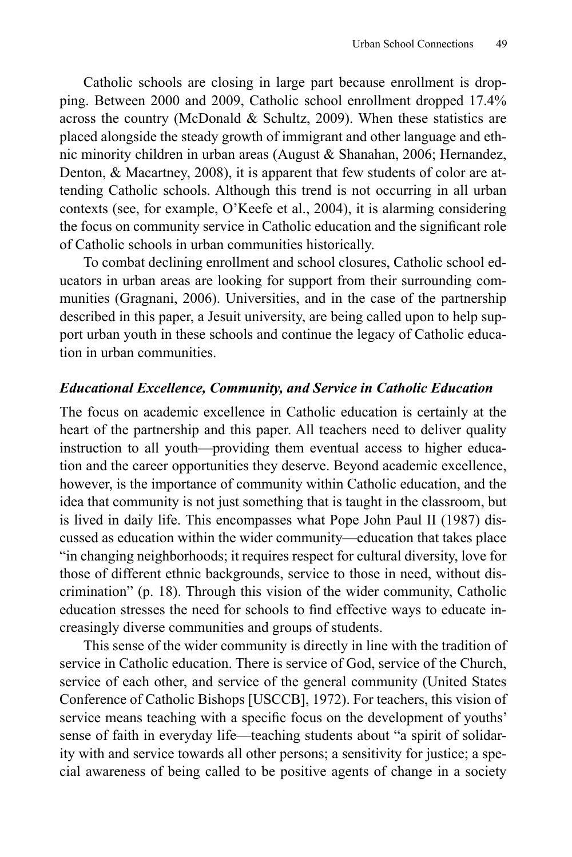Catholic schools are closing in large part because enrollment is dropping. Between 2000 and 2009, Catholic school enrollment dropped 17.4% across the country (McDonald & Schultz, 2009). When these statistics are placed alongside the steady growth of immigrant and other language and ethnic minority children in urban areas (August & Shanahan, 2006; Hernandez, Denton, & Macartney, 2008), it is apparent that few students of color are attending Catholic schools. Although this trend is not occurring in all urban contexts (see, for example, O'Keefe et al., 2004), it is alarming considering the focus on community service in Catholic education and the significant role of Catholic schools in urban communities historically.

To combat declining enrollment and school closures, Catholic school educators in urban areas are looking for support from their surrounding communities (Gragnani, 2006). Universities, and in the case of the partnership described in this paper, a Jesuit university, are being called upon to help support urban youth in these schools and continue the legacy of Catholic education in urban communities.

## *Educational Excellence, Community, and Service in Catholic Education*

The focus on academic excellence in Catholic education is certainly at the heart of the partnership and this paper. All teachers need to deliver quality instruction to all youth—providing them eventual access to higher education and the career opportunities they deserve. Beyond academic excellence, however, is the importance of community within Catholic education, and the idea that community is not just something that is taught in the classroom, but is lived in daily life. This encompasses what Pope John Paul II (1987) discussed as education within the wider community—education that takes place "in changing neighborhoods; it requires respect for cultural diversity, love for those of different ethnic backgrounds, service to those in need, without discrimination" (p. 18). Through this vision of the wider community, Catholic education stresses the need for schools to find effective ways to educate increasingly diverse communities and groups of students.

This sense of the wider community is directly in line with the tradition of service in Catholic education. There is service of God, service of the Church, service of each other, and service of the general community (United States Conference of Catholic Bishops [USCCB], 1972). For teachers, this vision of service means teaching with a specific focus on the development of youths' sense of faith in everyday life—teaching students about "a spirit of solidarity with and service towards all other persons; a sensitivity for justice; a special awareness of being called to be positive agents of change in a society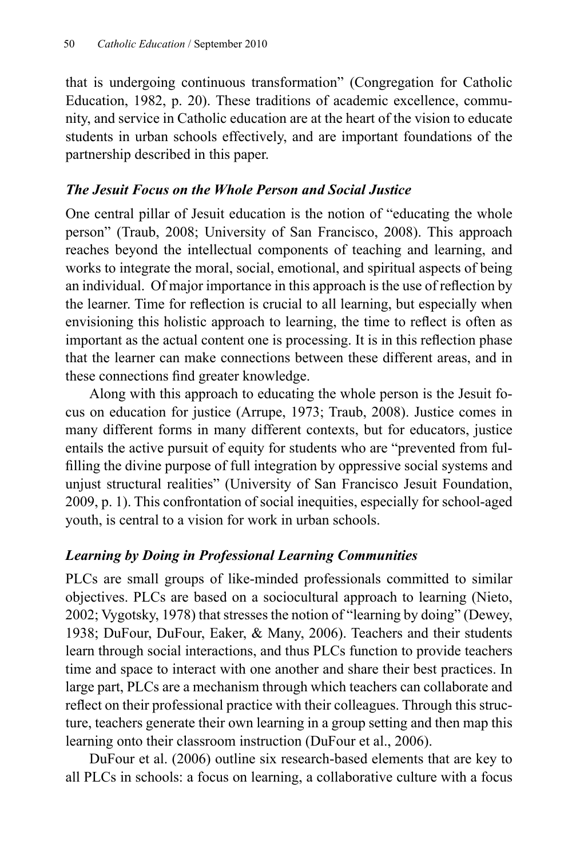that is undergoing continuous transformation" (Congregation for Catholic Education, 1982, p. 20). These traditions of academic excellence, community, and service in Catholic education are at the heart of the vision to educate students in urban schools effectively, and are important foundations of the partnership described in this paper.

## *The Jesuit Focus on the Whole Person and Social Justice*

One central pillar of Jesuit education is the notion of "educating the whole person" (Traub, 2008; University of San Francisco, 2008). This approach reaches beyond the intellectual components of teaching and learning, and works to integrate the moral, social, emotional, and spiritual aspects of being an individual. Of major importance in this approach is the use of reflection by the learner. Time for reflection is crucial to all learning, but especially when envisioning this holistic approach to learning, the time to reflect is often as important as the actual content one is processing. It is in this reflection phase that the learner can make connections between these different areas, and in these connections find greater knowledge.

Along with this approach to educating the whole person is the Jesuit focus on education for justice (Arrupe, 1973; Traub, 2008). Justice comes in many different forms in many different contexts, but for educators, justice entails the active pursuit of equity for students who are "prevented from fulfilling the divine purpose of full integration by oppressive social systems and unjust structural realities" (University of San Francisco Jesuit Foundation, 2009, p. 1). This confrontation of social inequities, especially for school-aged youth, is central to a vision for work in urban schools.

# *Learning by Doing in Professional Learning Communities*

PLCs are small groups of like-minded professionals committed to similar objectives. PLCs are based on a sociocultural approach to learning (Nieto, 2002; Vygotsky, 1978) that stresses the notion of "learning by doing" (Dewey, 1938; DuFour, DuFour, Eaker, & Many, 2006). Teachers and their students learn through social interactions, and thus PLCs function to provide teachers time and space to interact with one another and share their best practices. In large part, PLCs are a mechanism through which teachers can collaborate and reflect on their professional practice with their colleagues. Through this structure, teachers generate their own learning in a group setting and then map this learning onto their classroom instruction (DuFour et al., 2006).

DuFour et al. (2006) outline six research-based elements that are key to all PLCs in schools: a focus on learning, a collaborative culture with a focus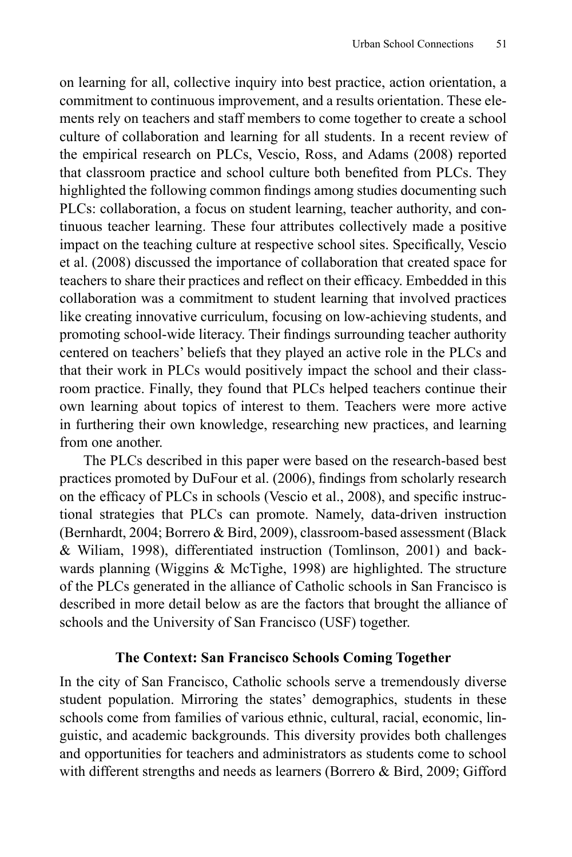on learning for all, collective inquiry into best practice, action orientation, a commitment to continuous improvement, and a results orientation. These elements rely on teachers and staff members to come together to create a school culture of collaboration and learning for all students. In a recent review of the empirical research on PLCs, Vescio, Ross, and Adams (2008) reported that classroom practice and school culture both benefited from PLCs. They highlighted the following common findings among studies documenting such PLCs: collaboration, a focus on student learning, teacher authority, and continuous teacher learning. These four attributes collectively made a positive impact on the teaching culture at respective school sites. Specifically, Vescio et al. (2008) discussed the importance of collaboration that created space for teachers to share their practices and reflect on their efficacy. Embedded in this collaboration was a commitment to student learning that involved practices like creating innovative curriculum, focusing on low-achieving students, and promoting school-wide literacy. Their findings surrounding teacher authority centered on teachers' beliefs that they played an active role in the PLCs and that their work in PLCs would positively impact the school and their classroom practice. Finally, they found that PLCs helped teachers continue their own learning about topics of interest to them. Teachers were more active in furthering their own knowledge, researching new practices, and learning from one another.

The PLCs described in this paper were based on the research-based best practices promoted by DuFour et al. (2006), findings from scholarly research on the efficacy of PLCs in schools (Vescio et al., 2008), and specific instructional strategies that PLCs can promote. Namely, data-driven instruction (Bernhardt, 2004; Borrero & Bird, 2009), classroom-based assessment (Black & Wiliam, 1998), differentiated instruction (Tomlinson, 2001) and backwards planning (Wiggins & McTighe, 1998) are highlighted. The structure of the PLCs generated in the alliance of Catholic schools in San Francisco is described in more detail below as are the factors that brought the alliance of schools and the University of San Francisco (USF) together.

## **The Context: San Francisco Schools Coming Together**

In the city of San Francisco, Catholic schools serve a tremendously diverse student population. Mirroring the states' demographics, students in these schools come from families of various ethnic, cultural, racial, economic, linguistic, and academic backgrounds. This diversity provides both challenges and opportunities for teachers and administrators as students come to school with different strengths and needs as learners (Borrero & Bird, 2009; Gifford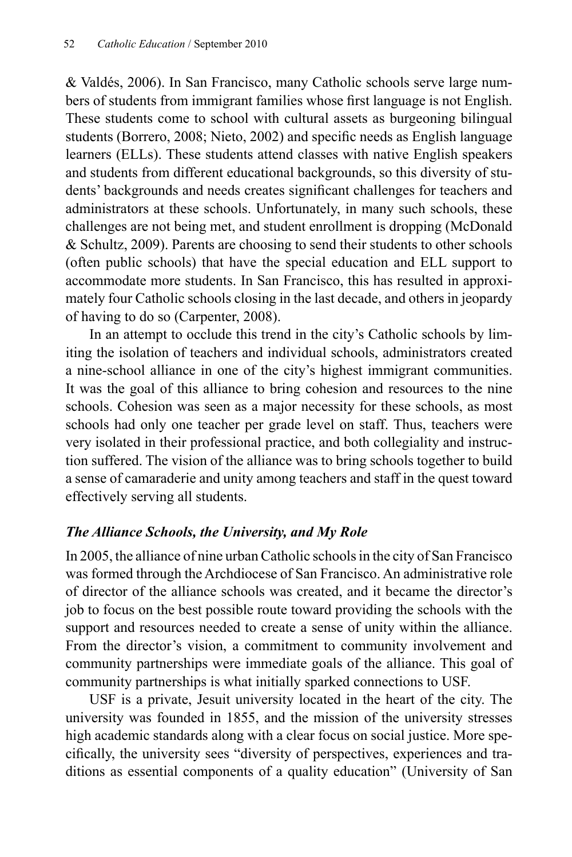& Valdés, 2006). In San Francisco, many Catholic schools serve large numbers of students from immigrant families whose first language is not English. These students come to school with cultural assets as burgeoning bilingual students (Borrero, 2008; Nieto, 2002) and specific needs as English language learners (ELLs). These students attend classes with native English speakers and students from different educational backgrounds, so this diversity of students' backgrounds and needs creates significant challenges for teachers and administrators at these schools. Unfortunately, in many such schools, these challenges are not being met, and student enrollment is dropping (McDonald & Schultz, 2009). Parents are choosing to send their students to other schools (often public schools) that have the special education and ELL support to accommodate more students. In San Francisco, this has resulted in approximately four Catholic schools closing in the last decade, and others in jeopardy of having to do so (Carpenter, 2008).

In an attempt to occlude this trend in the city's Catholic schools by limiting the isolation of teachers and individual schools, administrators created a nine-school alliance in one of the city's highest immigrant communities. It was the goal of this alliance to bring cohesion and resources to the nine schools. Cohesion was seen as a major necessity for these schools, as most schools had only one teacher per grade level on staff. Thus, teachers were very isolated in their professional practice, and both collegiality and instruction suffered. The vision of the alliance was to bring schools together to build a sense of camaraderie and unity among teachers and staff in the quest toward effectively serving all students.

## *The Alliance Schools, the University, and My Role*

In 2005, the alliance of nine urban Catholic schools in the city of San Francisco was formed through the Archdiocese of San Francisco. An administrative role of director of the alliance schools was created, and it became the director's job to focus on the best possible route toward providing the schools with the support and resources needed to create a sense of unity within the alliance. From the director's vision, a commitment to community involvement and community partnerships were immediate goals of the alliance. This goal of community partnerships is what initially sparked connections to USF.

USF is a private, Jesuit university located in the heart of the city. The university was founded in 1855, and the mission of the university stresses high academic standards along with a clear focus on social justice. More specifically, the university sees "diversity of perspectives, experiences and traditions as essential components of a quality education" (University of San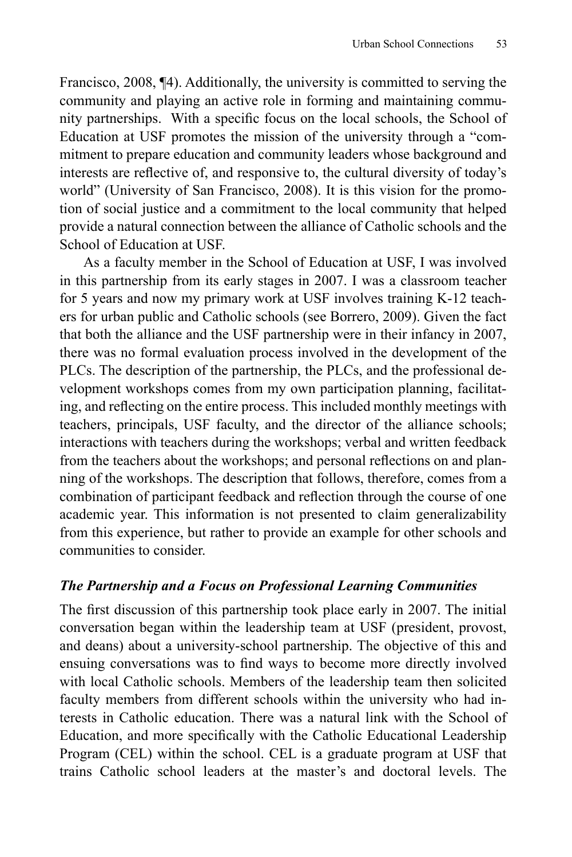Francisco, 2008, ¶4). Additionally, the university is committed to serving the community and playing an active role in forming and maintaining community partnerships. With a specific focus on the local schools, the School of Education at USF promotes the mission of the university through a "commitment to prepare education and community leaders whose background and interests are reflective of, and responsive to, the cultural diversity of today's world" (University of San Francisco, 2008). It is this vision for the promotion of social justice and a commitment to the local community that helped provide a natural connection between the alliance of Catholic schools and the School of Education at USF.

As a faculty member in the School of Education at USF, I was involved in this partnership from its early stages in 2007. I was a classroom teacher for 5 years and now my primary work at USF involves training K-12 teachers for urban public and Catholic schools (see Borrero, 2009). Given the fact that both the alliance and the USF partnership were in their infancy in 2007, there was no formal evaluation process involved in the development of the PLCs. The description of the partnership, the PLCs, and the professional development workshops comes from my own participation planning, facilitating, and reflecting on the entire process. This included monthly meetings with teachers, principals, USF faculty, and the director of the alliance schools; interactions with teachers during the workshops; verbal and written feedback from the teachers about the workshops; and personal reflections on and planning of the workshops. The description that follows, therefore, comes from a combination of participant feedback and reflection through the course of one academic year. This information is not presented to claim generalizability from this experience, but rather to provide an example for other schools and communities to consider.

## *The Partnership and a Focus on Professional Learning Communities*

The first discussion of this partnership took place early in 2007. The initial conversation began within the leadership team at USF (president, provost, and deans) about a university-school partnership. The objective of this and ensuing conversations was to find ways to become more directly involved with local Catholic schools. Members of the leadership team then solicited faculty members from different schools within the university who had interests in Catholic education. There was a natural link with the School of Education, and more specifically with the Catholic Educational Leadership Program (CEL) within the school. CEL is a graduate program at USF that trains Catholic school leaders at the master's and doctoral levels. The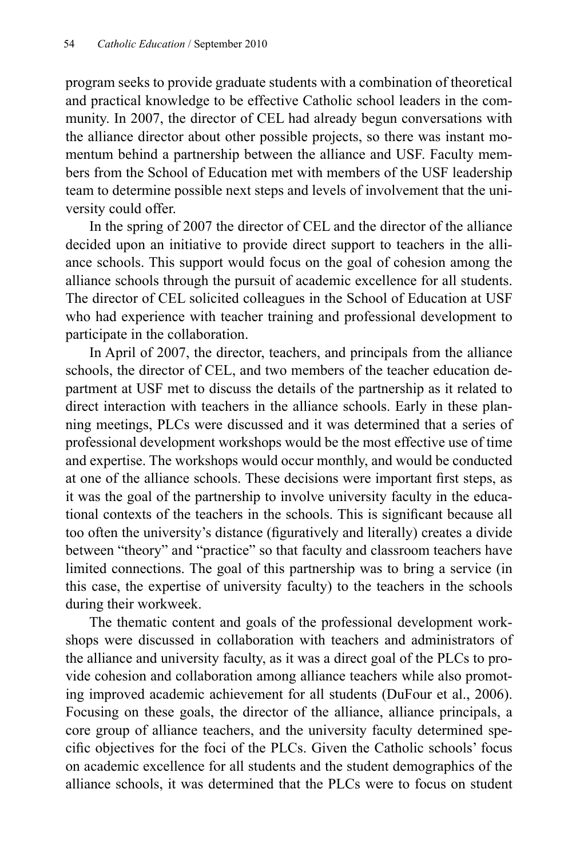program seeks to provide graduate students with a combination of theoretical and practical knowledge to be effective Catholic school leaders in the community. In 2007, the director of CEL had already begun conversations with the alliance director about other possible projects, so there was instant momentum behind a partnership between the alliance and USF. Faculty members from the School of Education met with members of the USF leadership team to determine possible next steps and levels of involvement that the university could offer.

In the spring of 2007 the director of CEL and the director of the alliance decided upon an initiative to provide direct support to teachers in the alliance schools. This support would focus on the goal of cohesion among the alliance schools through the pursuit of academic excellence for all students. The director of CEL solicited colleagues in the School of Education at USF who had experience with teacher training and professional development to participate in the collaboration.

In April of 2007, the director, teachers, and principals from the alliance schools, the director of CEL, and two members of the teacher education department at USF met to discuss the details of the partnership as it related to direct interaction with teachers in the alliance schools. Early in these planning meetings, PLCs were discussed and it was determined that a series of professional development workshops would be the most effective use of time and expertise. The workshops would occur monthly, and would be conducted at one of the alliance schools. These decisions were important first steps, as it was the goal of the partnership to involve university faculty in the educational contexts of the teachers in the schools. This is significant because all too often the university's distance (figuratively and literally) creates a divide between "theory" and "practice" so that faculty and classroom teachers have limited connections. The goal of this partnership was to bring a service (in this case, the expertise of university faculty) to the teachers in the schools during their workweek.

The thematic content and goals of the professional development workshops were discussed in collaboration with teachers and administrators of the alliance and university faculty, as it was a direct goal of the PLCs to provide cohesion and collaboration among alliance teachers while also promoting improved academic achievement for all students (DuFour et al., 2006). Focusing on these goals, the director of the alliance, alliance principals, a core group of alliance teachers, and the university faculty determined specific objectives for the foci of the PLCs. Given the Catholic schools' focus on academic excellence for all students and the student demographics of the alliance schools, it was determined that the PLCs were to focus on student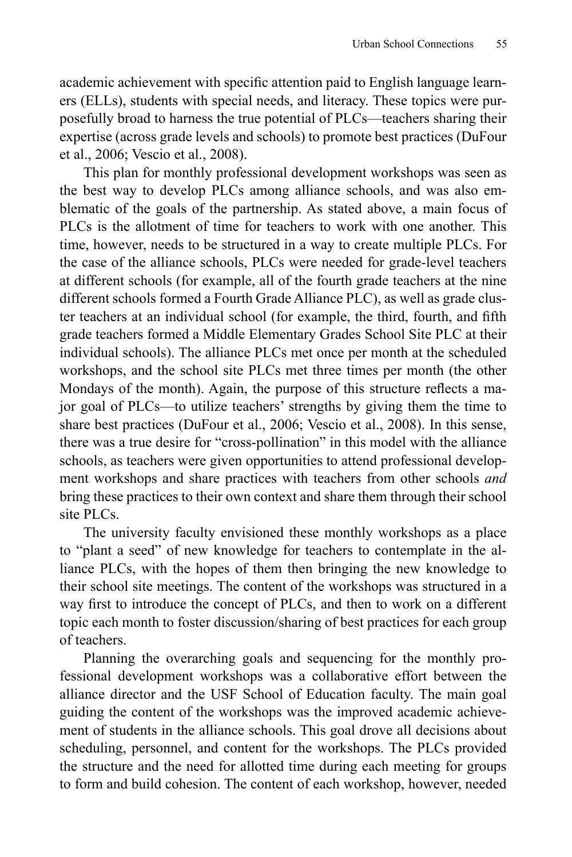academic achievement with specific attention paid to English language learners (ELLs), students with special needs, and literacy. These topics were purposefully broad to harness the true potential of PLCs—teachers sharing their expertise (across grade levels and schools) to promote best practices (DuFour et al., 2006; Vescio et al., 2008).

This plan for monthly professional development workshops was seen as the best way to develop PLCs among alliance schools, and was also emblematic of the goals of the partnership. As stated above, a main focus of PLCs is the allotment of time for teachers to work with one another. This time, however, needs to be structured in a way to create multiple PLCs. For the case of the alliance schools, PLCs were needed for grade-level teachers at different schools (for example, all of the fourth grade teachers at the nine different schools formed a Fourth Grade Alliance PLC), as well as grade cluster teachers at an individual school (for example, the third, fourth, and fifth grade teachers formed a Middle Elementary Grades School Site PLC at their individual schools). The alliance PLCs met once per month at the scheduled workshops, and the school site PLCs met three times per month (the other Mondays of the month). Again, the purpose of this structure reflects a major goal of PLCs—to utilize teachers' strengths by giving them the time to share best practices (DuFour et al., 2006; Vescio et al., 2008). In this sense, there was a true desire for "cross-pollination" in this model with the alliance schools, as teachers were given opportunities to attend professional development workshops and share practices with teachers from other schools *and* bring these practices to their own context and share them through their school site PLCs.

The university faculty envisioned these monthly workshops as a place to "plant a seed" of new knowledge for teachers to contemplate in the alliance PLCs, with the hopes of them then bringing the new knowledge to their school site meetings. The content of the workshops was structured in a way first to introduce the concept of PLCs, and then to work on a different topic each month to foster discussion/sharing of best practices for each group of teachers.

Planning the overarching goals and sequencing for the monthly professional development workshops was a collaborative effort between the alliance director and the USF School of Education faculty. The main goal guiding the content of the workshops was the improved academic achievement of students in the alliance schools. This goal drove all decisions about scheduling, personnel, and content for the workshops. The PLCs provided the structure and the need for allotted time during each meeting for groups to form and build cohesion. The content of each workshop, however, needed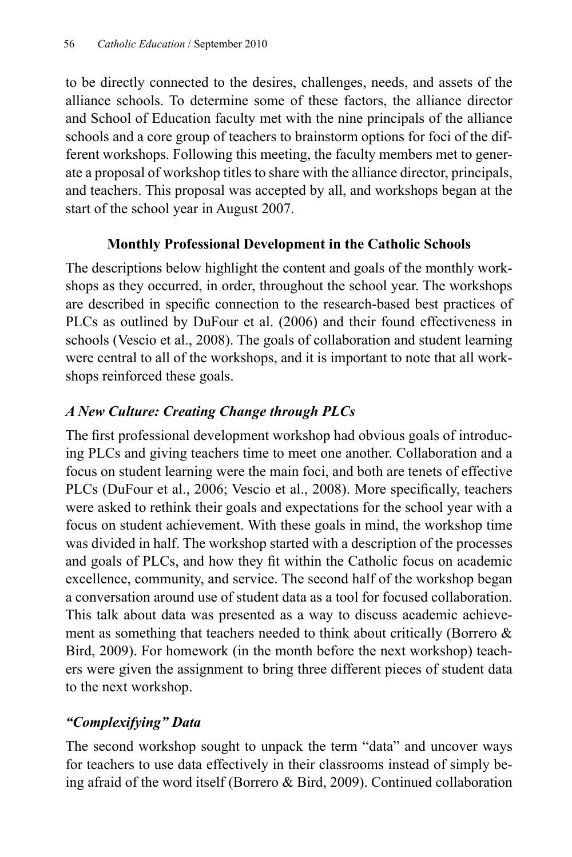to be directly connected to the desires, challenges, needs, and assets of the alliance schools. To determine some of these factors, the alliance director and School of Education faculty met with the nine principals of the alliance schools and a core group of teachers to brainstorm options for foci of the different workshops. Following this meeting, the faculty members met to generate a proposal of workshop titles to share with the alliance director, principals, and teachers. This proposal was accepted by all, and workshops began at the start of the school year in August 2007.

# **Monthly Professional Development in the Catholic Schools**

The descriptions below highlight the content and goals of the monthly workshops as they occurred, in order, throughout the school year. The workshops are described in specific connection to the research-based best practices of PLCs as outlined by DuFour et al. (2006) and their found effectiveness in schools (Vescio et al., 2008). The goals of collaboration and student learning were central to all of the workshops, and it is important to note that all workshops reinforced these goals.

# *A New Culture: Creating Change through PLCs*

The first professional development workshop had obvious goals of introducing PLCs and giving teachers time to meet one another. Collaboration and a focus on student learning were the main foci, and both are tenets of effective PLCs (DuFour et al., 2006; Vescio et al., 2008). More specifically, teachers were asked to rethink their goals and expectations for the school year with a focus on student achievement. With these goals in mind, the workshop time was divided in half. The workshop started with a description of the processes and goals of PLCs, and how they fit within the Catholic focus on academic excellence, community, and service. The second half of the workshop began a conversation around use of student data as a tool for focused collaboration. This talk about data was presented as a way to discuss academic achievement as something that teachers needed to think about critically (Borrero & Bird, 2009). For homework (in the month before the next workshop) teachers were given the assignment to bring three different pieces of student data to the next workshop.

# *"Complexifying" Data*

The second workshop sought to unpack the term "data" and uncover ways for teachers to use data effectively in their classrooms instead of simply being afraid of the word itself (Borrero & Bird, 2009). Continued collaboration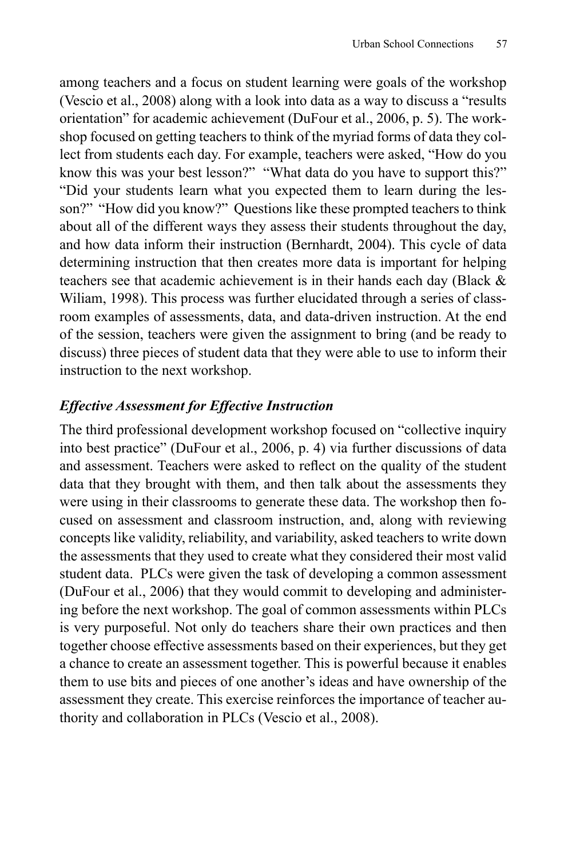among teachers and a focus on student learning were goals of the workshop (Vescio et al., 2008) along with a look into data as a way to discuss a "results orientation" for academic achievement (DuFour et al., 2006, p. 5). The workshop focused on getting teachers to think of the myriad forms of data they collect from students each day. For example, teachers were asked, "How do you know this was your best lesson?" "What data do you have to support this?" "Did your students learn what you expected them to learn during the lesson?" "How did you know?" Questions like these prompted teachers to think about all of the different ways they assess their students throughout the day, and how data inform their instruction (Bernhardt, 2004). This cycle of data determining instruction that then creates more data is important for helping teachers see that academic achievement is in their hands each day (Black & Wiliam, 1998). This process was further elucidated through a series of classroom examples of assessments, data, and data-driven instruction. At the end of the session, teachers were given the assignment to bring (and be ready to discuss) three pieces of student data that they were able to use to inform their instruction to the next workshop.

# *Effective Assessment for Effective Instruction*

The third professional development workshop focused on "collective inquiry into best practice" (DuFour et al., 2006, p. 4) via further discussions of data and assessment. Teachers were asked to reflect on the quality of the student data that they brought with them, and then talk about the assessments they were using in their classrooms to generate these data. The workshop then focused on assessment and classroom instruction, and, along with reviewing concepts like validity, reliability, and variability, asked teachers to write down the assessments that they used to create what they considered their most valid student data. PLCs were given the task of developing a common assessment (DuFour et al., 2006) that they would commit to developing and administering before the next workshop. The goal of common assessments within PLCs is very purposeful. Not only do teachers share their own practices and then together choose effective assessments based on their experiences, but they get a chance to create an assessment together. This is powerful because it enables them to use bits and pieces of one another's ideas and have ownership of the assessment they create. This exercise reinforces the importance of teacher authority and collaboration in PLCs (Vescio et al., 2008).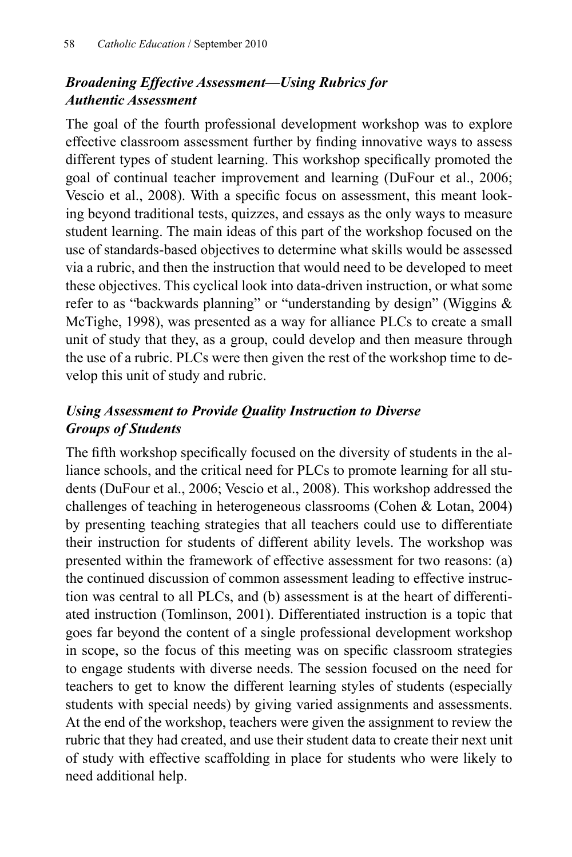# *Broadening Effective Assessment—Using Rubrics for Authentic Assessment*

The goal of the fourth professional development workshop was to explore effective classroom assessment further by finding innovative ways to assess different types of student learning. This workshop specifically promoted the goal of continual teacher improvement and learning (DuFour et al., 2006; Vescio et al., 2008). With a specific focus on assessment, this meant looking beyond traditional tests, quizzes, and essays as the only ways to measure student learning. The main ideas of this part of the workshop focused on the use of standards-based objectives to determine what skills would be assessed via a rubric, and then the instruction that would need to be developed to meet these objectives. This cyclical look into data-driven instruction, or what some refer to as "backwards planning" or "understanding by design" (Wiggins & McTighe, 1998), was presented as a way for alliance PLCs to create a small unit of study that they, as a group, could develop and then measure through the use of a rubric. PLCs were then given the rest of the workshop time to develop this unit of study and rubric.

# *Using Assessment to Provide Quality Instruction to Diverse Groups of Students*

The fifth workshop specifically focused on the diversity of students in the alliance schools, and the critical need for PLCs to promote learning for all students (DuFour et al., 2006; Vescio et al., 2008). This workshop addressed the challenges of teaching in heterogeneous classrooms (Cohen & Lotan, 2004) by presenting teaching strategies that all teachers could use to differentiate their instruction for students of different ability levels. The workshop was presented within the framework of effective assessment for two reasons: (a) the continued discussion of common assessment leading to effective instruction was central to all PLCs, and (b) assessment is at the heart of differentiated instruction (Tomlinson, 2001). Differentiated instruction is a topic that goes far beyond the content of a single professional development workshop in scope, so the focus of this meeting was on specific classroom strategies to engage students with diverse needs. The session focused on the need for teachers to get to know the different learning styles of students (especially students with special needs) by giving varied assignments and assessments. At the end of the workshop, teachers were given the assignment to review the rubric that they had created, and use their student data to create their next unit of study with effective scaffolding in place for students who were likely to need additional help.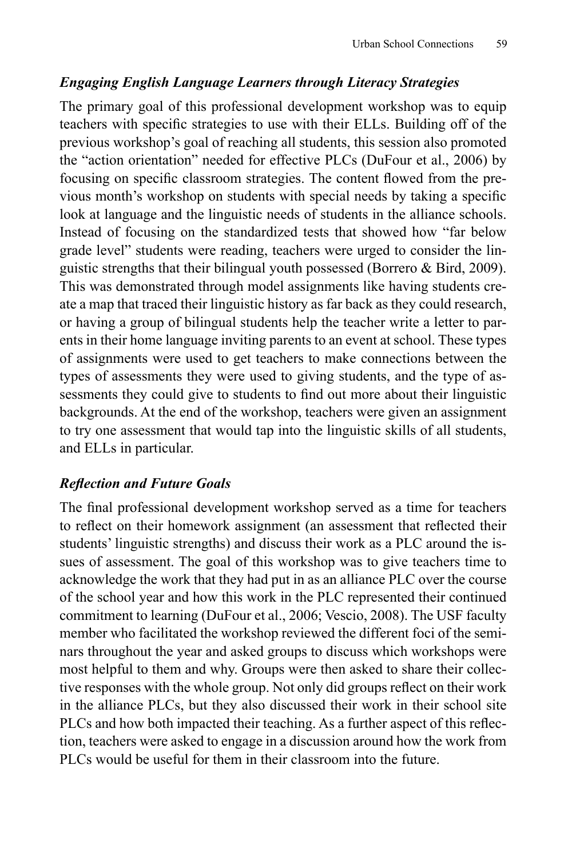# *Engaging English Language Learners through Literacy Strategies*

The primary goal of this professional development workshop was to equip teachers with specific strategies to use with their ELLs. Building off of the previous workshop's goal of reaching all students, this session also promoted the "action orientation" needed for effective PLCs (DuFour et al., 2006) by focusing on specific classroom strategies. The content flowed from the previous month's workshop on students with special needs by taking a specific look at language and the linguistic needs of students in the alliance schools. Instead of focusing on the standardized tests that showed how "far below grade level" students were reading, teachers were urged to consider the linguistic strengths that their bilingual youth possessed (Borrero & Bird, 2009). This was demonstrated through model assignments like having students create a map that traced their linguistic history as far back as they could research, or having a group of bilingual students help the teacher write a letter to parents in their home language inviting parents to an event at school. These types of assignments were used to get teachers to make connections between the types of assessments they were used to giving students, and the type of assessments they could give to students to find out more about their linguistic backgrounds. At the end of the workshop, teachers were given an assignment to try one assessment that would tap into the linguistic skills of all students, and ELLs in particular.

# *Refl ection and Future Goals*

The final professional development workshop served as a time for teachers to reflect on their homework assignment (an assessment that reflected their students' linguistic strengths) and discuss their work as a PLC around the issues of assessment. The goal of this workshop was to give teachers time to acknowledge the work that they had put in as an alliance PLC over the course of the school year and how this work in the PLC represented their continued commitment to learning (DuFour et al., 2006; Vescio, 2008). The USF faculty member who facilitated the workshop reviewed the different foci of the seminars throughout the year and asked groups to discuss which workshops were most helpful to them and why. Groups were then asked to share their collective responses with the whole group. Not only did groups reflect on their work in the alliance PLCs, but they also discussed their work in their school site PLCs and how both impacted their teaching. As a further aspect of this reflection, teachers were asked to engage in a discussion around how the work from PLCs would be useful for them in their classroom into the future.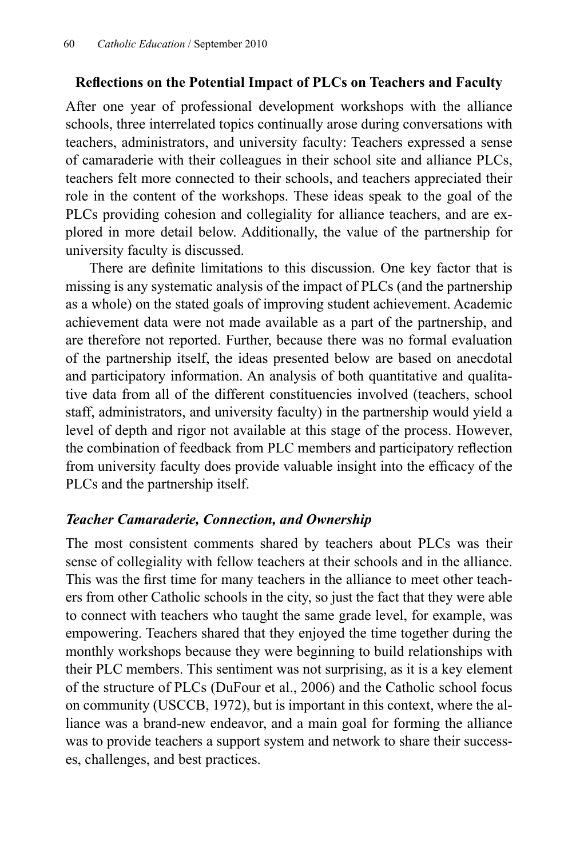## **Refl ections on the Potential Impact of PLCs on Teachers and Faculty**

After one year of professional development workshops with the alliance schools, three interrelated topics continually arose during conversations with teachers, administrators, and university faculty: Teachers expressed a sense of camaraderie with their colleagues in their school site and alliance PLCs, teachers felt more connected to their schools, and teachers appreciated their role in the content of the workshops. These ideas speak to the goal of the PLCs providing cohesion and collegiality for alliance teachers, and are explored in more detail below. Additionally, the value of the partnership for university faculty is discussed.

There are definite limitations to this discussion. One key factor that is missing is any systematic analysis of the impact of PLCs (and the partnership as a whole) on the stated goals of improving student achievement. Academic achievement data were not made available as a part of the partnership, and are therefore not reported. Further, because there was no formal evaluation of the partnership itself, the ideas presented below are based on anecdotal and participatory information. An analysis of both quantitative and qualitative data from all of the different constituencies involved (teachers, school staff, administrators, and university faculty) in the partnership would yield a level of depth and rigor not available at this stage of the process. However, the combination of feedback from PLC members and participatory reflection from university faculty does provide valuable insight into the efficacy of the PLCs and the partnership itself.

## *Teacher Camaraderie, Connection, and Ownership*

The most consistent comments shared by teachers about PLCs was their sense of collegiality with fellow teachers at their schools and in the alliance. This was the first time for many teachers in the alliance to meet other teachers from other Catholic schools in the city, so just the fact that they were able to connect with teachers who taught the same grade level, for example, was empowering. Teachers shared that they enjoyed the time together during the monthly workshops because they were beginning to build relationships with their PLC members. This sentiment was not surprising, as it is a key element of the structure of PLCs (DuFour et al., 2006) and the Catholic school focus on community (USCCB, 1972), but is important in this context, where the alliance was a brand-new endeavor, and a main goal for forming the alliance was to provide teachers a support system and network to share their successes, challenges, and best practices.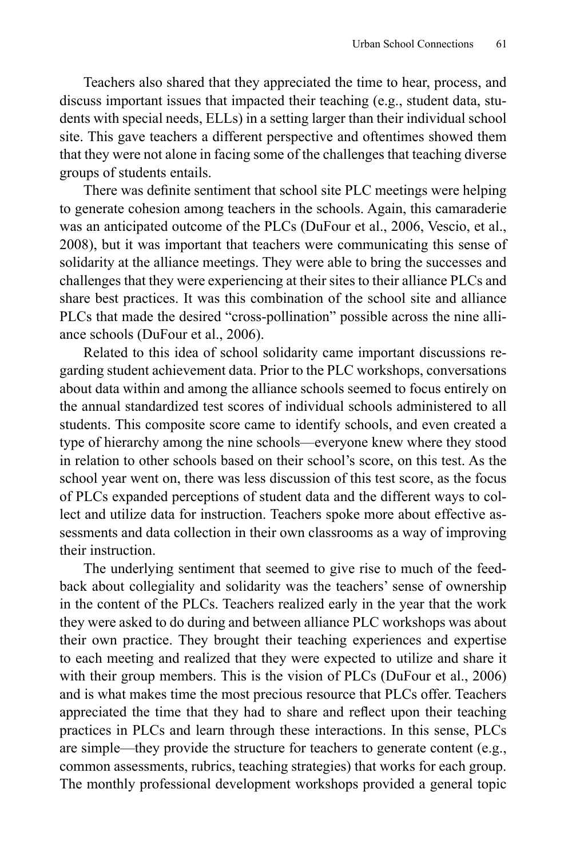Teachers also shared that they appreciated the time to hear, process, and discuss important issues that impacted their teaching (e.g., student data, students with special needs, ELLs) in a setting larger than their individual school site. This gave teachers a different perspective and oftentimes showed them that they were not alone in facing some of the challenges that teaching diverse groups of students entails.

There was definite sentiment that school site PLC meetings were helping to generate cohesion among teachers in the schools. Again, this camaraderie was an anticipated outcome of the PLCs (DuFour et al., 2006, Vescio, et al., 2008), but it was important that teachers were communicating this sense of solidarity at the alliance meetings. They were able to bring the successes and challenges that they were experiencing at their sites to their alliance PLCs and share best practices. It was this combination of the school site and alliance PLCs that made the desired "cross-pollination" possible across the nine alliance schools (DuFour et al., 2006).

Related to this idea of school solidarity came important discussions regarding student achievement data. Prior to the PLC workshops, conversations about data within and among the alliance schools seemed to focus entirely on the annual standardized test scores of individual schools administered to all students. This composite score came to identify schools, and even created a type of hierarchy among the nine schools—everyone knew where they stood in relation to other schools based on their school's score, on this test. As the school year went on, there was less discussion of this test score, as the focus of PLCs expanded perceptions of student data and the different ways to collect and utilize data for instruction. Teachers spoke more about effective assessments and data collection in their own classrooms as a way of improving their instruction.

The underlying sentiment that seemed to give rise to much of the feedback about collegiality and solidarity was the teachers' sense of ownership in the content of the PLCs. Teachers realized early in the year that the work they were asked to do during and between alliance PLC workshops was about their own practice. They brought their teaching experiences and expertise to each meeting and realized that they were expected to utilize and share it with their group members. This is the vision of PLCs (DuFour et al., 2006) and is what makes time the most precious resource that PLCs offer. Teachers appreciated the time that they had to share and reflect upon their teaching practices in PLCs and learn through these interactions. In this sense, PLCs are simple—they provide the structure for teachers to generate content (e.g., common assessments, rubrics, teaching strategies) that works for each group. The monthly professional development workshops provided a general topic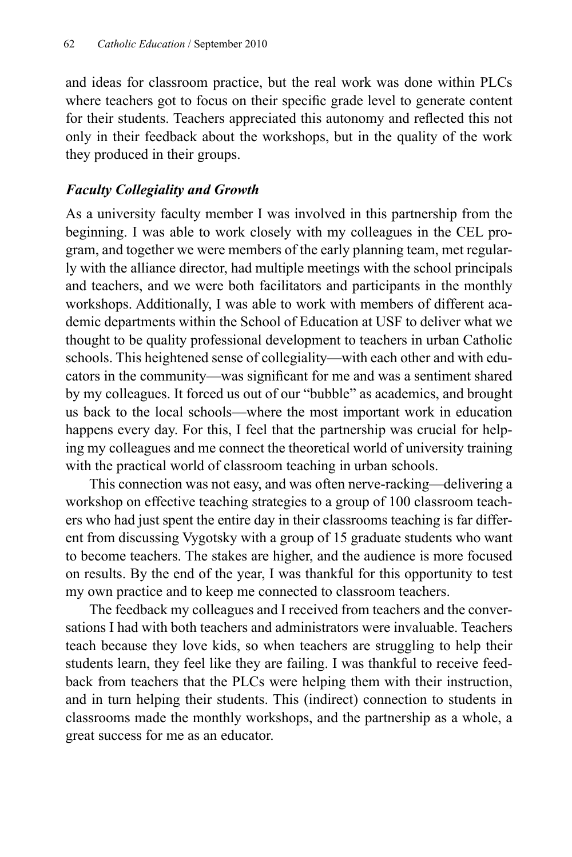and ideas for classroom practice, but the real work was done within PLCs where teachers got to focus on their specific grade level to generate content for their students. Teachers appreciated this autonomy and reflected this not only in their feedback about the workshops, but in the quality of the work they produced in their groups.

## *Faculty Collegiality and Growth*

As a university faculty member I was involved in this partnership from the beginning. I was able to work closely with my colleagues in the CEL program, and together we were members of the early planning team, met regularly with the alliance director, had multiple meetings with the school principals and teachers, and we were both facilitators and participants in the monthly workshops. Additionally, I was able to work with members of different academic departments within the School of Education at USF to deliver what we thought to be quality professional development to teachers in urban Catholic schools. This heightened sense of collegiality—with each other and with educators in the community—was significant for me and was a sentiment shared by my colleagues. It forced us out of our "bubble" as academics, and brought us back to the local schools—where the most important work in education happens every day. For this, I feel that the partnership was crucial for helping my colleagues and me connect the theoretical world of university training with the practical world of classroom teaching in urban schools.

This connection was not easy, and was often nerve-racking—delivering a workshop on effective teaching strategies to a group of 100 classroom teachers who had just spent the entire day in their classrooms teaching is far different from discussing Vygotsky with a group of 15 graduate students who want to become teachers. The stakes are higher, and the audience is more focused on results. By the end of the year, I was thankful for this opportunity to test my own practice and to keep me connected to classroom teachers.

The feedback my colleagues and I received from teachers and the conversations I had with both teachers and administrators were invaluable. Teachers teach because they love kids, so when teachers are struggling to help their students learn, they feel like they are failing. I was thankful to receive feedback from teachers that the PLCs were helping them with their instruction, and in turn helping their students. This (indirect) connection to students in classrooms made the monthly workshops, and the partnership as a whole, a great success for me as an educator.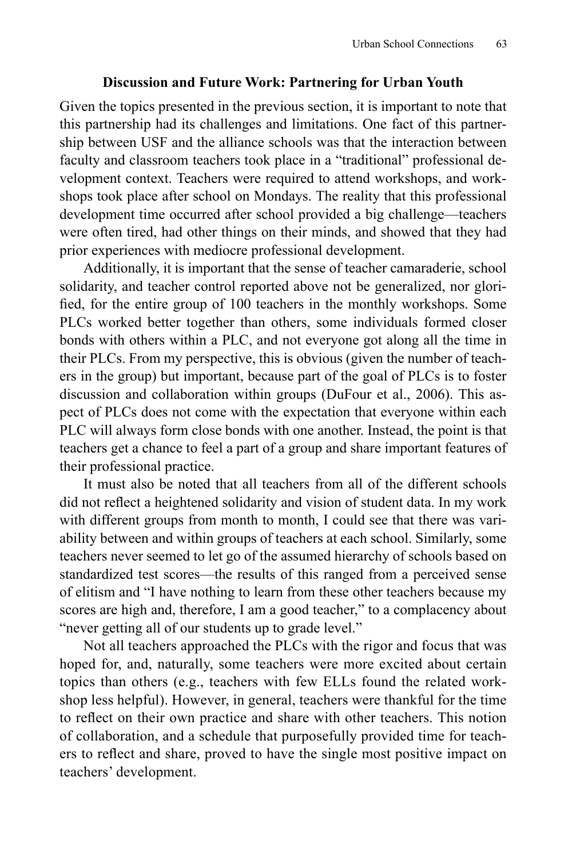### **Discussion and Future Work: Partnering for Urban Youth**

Given the topics presented in the previous section, it is important to note that this partnership had its challenges and limitations. One fact of this partnership between USF and the alliance schools was that the interaction between faculty and classroom teachers took place in a "traditional" professional development context. Teachers were required to attend workshops, and workshops took place after school on Mondays. The reality that this professional development time occurred after school provided a big challenge—teachers were often tired, had other things on their minds, and showed that they had prior experiences with mediocre professional development.

Additionally, it is important that the sense of teacher camaraderie, school solidarity, and teacher control reported above not be generalized, nor glorified, for the entire group of 100 teachers in the monthly workshops. Some PLCs worked better together than others, some individuals formed closer bonds with others within a PLC, and not everyone got along all the time in their PLCs. From my perspective, this is obvious (given the number of teachers in the group) but important, because part of the goal of PLCs is to foster discussion and collaboration within groups (DuFour et al., 2006). This aspect of PLCs does not come with the expectation that everyone within each PLC will always form close bonds with one another. Instead, the point is that teachers get a chance to feel a part of a group and share important features of their professional practice.

It must also be noted that all teachers from all of the different schools did not reflect a heightened solidarity and vision of student data. In my work with different groups from month to month, I could see that there was variability between and within groups of teachers at each school. Similarly, some teachers never seemed to let go of the assumed hierarchy of schools based on standardized test scores—the results of this ranged from a perceived sense of elitism and "I have nothing to learn from these other teachers because my scores are high and, therefore, I am a good teacher," to a complacency about "never getting all of our students up to grade level."

Not all teachers approached the PLCs with the rigor and focus that was hoped for, and, naturally, some teachers were more excited about certain topics than others (e.g., teachers with few ELLs found the related workshop less helpful). However, in general, teachers were thankful for the time to reflect on their own practice and share with other teachers. This notion of collaboration, and a schedule that purposefully provided time for teachers to reflect and share, proved to have the single most positive impact on teachers' development.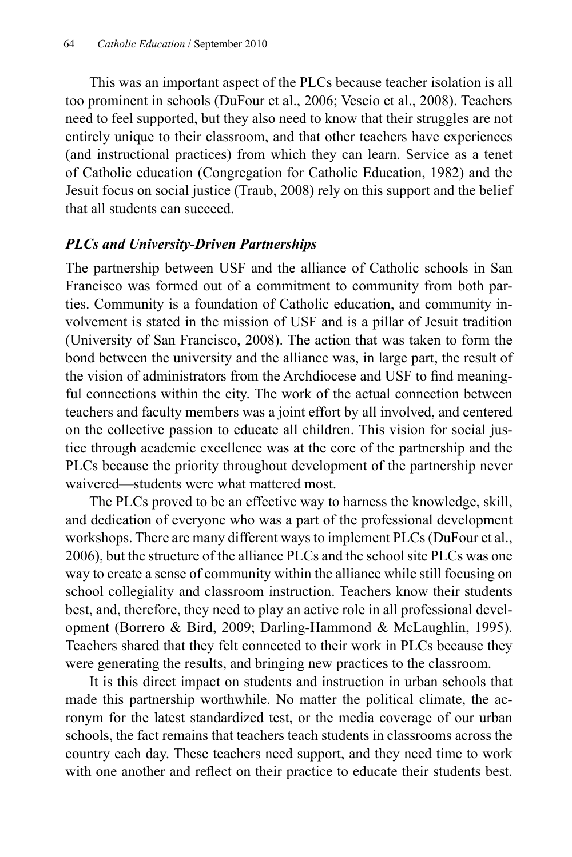This was an important aspect of the PLCs because teacher isolation is all too prominent in schools (DuFour et al., 2006; Vescio et al., 2008). Teachers need to feel supported, but they also need to know that their struggles are not entirely unique to their classroom, and that other teachers have experiences (and instructional practices) from which they can learn. Service as a tenet of Catholic education (Congregation for Catholic Education, 1982) and the Jesuit focus on social justice (Traub, 2008) rely on this support and the belief that all students can succeed.

## *PLCs and University-Driven Partnerships*

The partnership between USF and the alliance of Catholic schools in San Francisco was formed out of a commitment to community from both parties. Community is a foundation of Catholic education, and community involvement is stated in the mission of USF and is a pillar of Jesuit tradition (University of San Francisco, 2008). The action that was taken to form the bond between the university and the alliance was, in large part, the result of the vision of administrators from the Archdiocese and USF to find meaningful connections within the city. The work of the actual connection between teachers and faculty members was a joint effort by all involved, and centered on the collective passion to educate all children. This vision for social justice through academic excellence was at the core of the partnership and the PLCs because the priority throughout development of the partnership never waivered—students were what mattered most.

The PLCs proved to be an effective way to harness the knowledge, skill, and dedication of everyone who was a part of the professional development workshops. There are many different ways to implement PLCs (DuFour et al., 2006), but the structure of the alliance PLCs and the school site PLCs was one way to create a sense of community within the alliance while still focusing on school collegiality and classroom instruction. Teachers know their students best, and, therefore, they need to play an active role in all professional development (Borrero & Bird, 2009; Darling-Hammond & McLaughlin, 1995). Teachers shared that they felt connected to their work in PLCs because they were generating the results, and bringing new practices to the classroom.

It is this direct impact on students and instruction in urban schools that made this partnership worthwhile. No matter the political climate, the acronym for the latest standardized test, or the media coverage of our urban schools, the fact remains that teachers teach students in classrooms across the country each day. These teachers need support, and they need time to work with one another and reflect on their practice to educate their students best.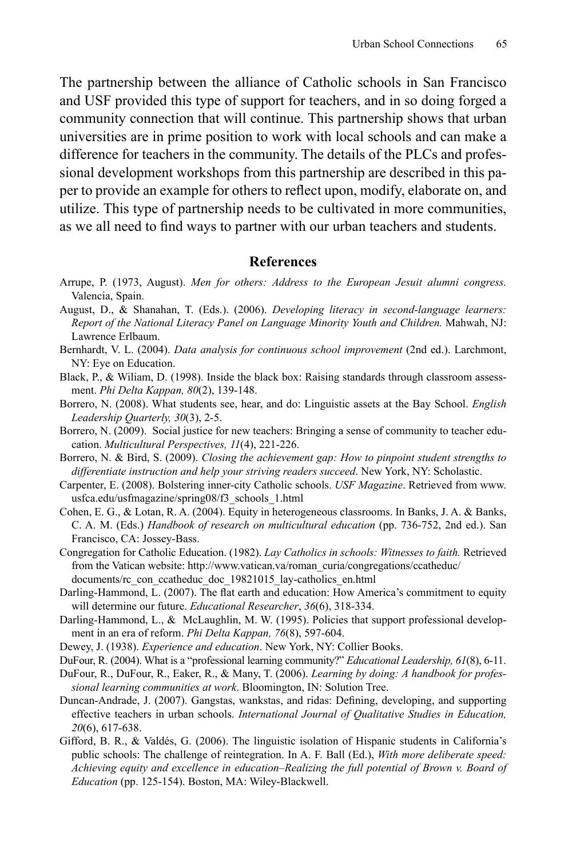The partnership between the alliance of Catholic schools in San Francisco and USF provided this type of support for teachers, and in so doing forged a community connection that will continue. This partnership shows that urban universities are in prime position to work with local schools and can make a difference for teachers in the community. The details of the PLCs and professional development workshops from this partnership are described in this paper to provide an example for others to reflect upon, modify, elaborate on, and utilize. This type of partnership needs to be cultivated in more communities, as we all need to find ways to partner with our urban teachers and students.

#### **References**

- Arrupe, P. (1973, August). *Men for others: Address to the European Jesuit alumni congress.*  Valencia, Spain.
- August, D., & Shanahan, T. (Eds.). (2006). *Developing literacy in second-language learners: Report of the National Literacy Panel on Language Minority Youth and Children.* Mahwah, NJ: Lawrence Erlbaum.
- Bernhardt, V. L. (2004). *Data analysis for continuous school improvement* (2nd ed.). Larchmont, NY: Eye on Education.
- Black, P., & Wiliam, D. (1998). Inside the black box: Raising standards through classroom assessment. *Phi Delta Kappan, 80*(2), 139-148.
- Borrero, N. (2008). What students see, hear, and do: Linguistic assets at the Bay School. *English Leadership Quarterly, 30*(3), 2-5.
- Borrero, N. (2009). Social justice for new teachers: Bringing a sense of community to teacher education. *Multicultural Perspectives, 11*(4), 221-226.
- Borrero, N. & Bird, S. (2009). *Closing the achievement gap: How to pinpoint student strengths to differentiate instruction and help your striving readers succeed*. New York, NY: Scholastic.
- Carpenter, E. (2008). Bolstering inner-city Catholic schools. *USF Magazine*. Retrieved from www. usfca.edu/usfmagazine/spring08/f3\_schools\_1.html
- Cohen, E. G., & Lotan, R. A. (2004). Equity in heterogeneous classrooms. In Banks, J. A. & Banks, C. A. M. (Eds.) *Handbook of research on multicultural education* (pp. 736-752, 2nd ed.). San Francisco, CA: Jossey-Bass.
- Congregation for Catholic Education. (1982). *Lay Catholics in schools: Witnesses to faith.* Retrieved from the Vatican website: http://www.vatican.va/roman\_curia/congregations/ccatheduc/ documents/rc\_con\_ccatheduc\_doc\_19821015\_lay-catholics\_en.html
- Darling-Hammond, L. (2007). The flat earth and education: How America's commitment to equity will determine our future. *Educational Researcher*, *36*(6), 318-334.
- Darling-Hammond, L., & McLaughlin, M. W. (1995). Policies that support professional development in an era of reform. *Phi Delta Kappan, 76*(8), 597-604.
- Dewey, J. (1938). *Experience and education*. New York, NY: Collier Books.
- DuFour, R. (2004). What is a "professional learning community?" *Educational Leadership, 61*(8), 6-11.
- DuFour, R., DuFour, R., Eaker, R., & Many, T. (2006). *Learning by doing: A handbook for professional learning communities at work*. Bloomington, IN: Solution Tree.
- Duncan-Andrade, J. (2007). Gangstas, wankstas, and ridas: Defining, developing, and supporting effective teachers in urban schools. *International Journal of Qualitative Studies in Education, 20*(6), 617-638.
- Gifford, B. R., & Valdés, G. (2006). The linguistic isolation of Hispanic students in California's public schools: The challenge of reintegration. In A. F. Ball (Ed.), *With more deliberate speed: Achieving equity and excellence in education–Realizing the full potential of Brown v. Board of Education* (pp. 125-154). Boston, MA: Wiley-Blackwell.